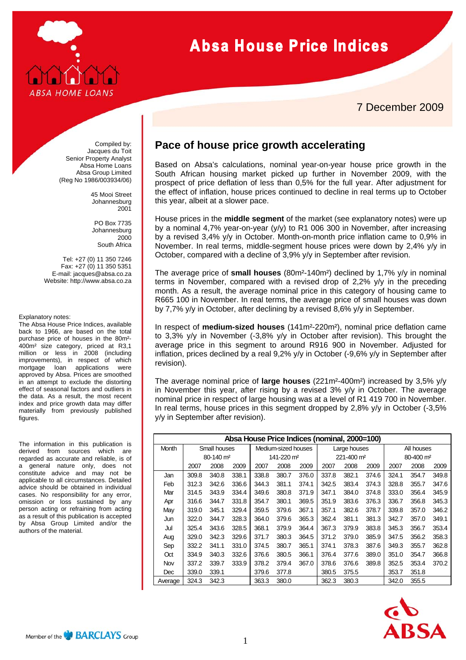

## 7 December 2009

Compiled by: Jacques du Toit Senior Property Analyst Absa Home Loans Absa Group Limited (Reg No 1986/003934/06)

> 45 Mooi Street Johannesburg 2001

PO Box 7735 Johannesburg 2000 South Africa

Tel: +27 (0) 11 350 7246 Fax: +27 (0) 11 350 5351 E-mail: jacques@absa.co.za Website: http://www.absa.co.za

## Explanatory notes:

The Absa House Price Indices, available back to 1966, are based on the total purchase price of houses in the 80m²- 400m² size category, priced at R3,1 million or less in 2008 (including improvements), in respect of which mortgage loan applications were approved by Absa. Prices are smoothed in an attempt to exclude the distorting effect of seasonal factors and outliers in the data. As a result, the most recent index and price growth data may differ materially from previously published figures.

The information in this publication is derived from sources which are regarded as accurate and reliable, is of a general nature only, does not constitute advice and may not be applicable to all circumstances. Detailed advice should be obtained in individual cases. No responsibility for any error, omission or loss sustained by any person acting or refraining from acting as a result of this publication is accepted by Absa Group Limited and/or the authors of the material.

## **Pace of house price growth accelerating**

Based on Absa's calculations, nominal year-on-year house price growth in the South African housing market picked up further in November 2009, with the prospect of price deflation of less than 0,5% for the full year. After adjustment for the effect of inflation, house prices continued to decline in real terms up to October this year, albeit at a slower pace.

House prices in the **middle segment** of the market (see explanatory notes) were up by a nominal 4,7% year-on-year (y/y) to R1 006 300 in November, after increasing by a revised 3,4% y/y in October. Month-on-month price inflation came to 0,9% in November. In real terms, middle-segment house prices were down by 2,4% y/y in October, compared with a decline of 3,9% y/y in September after revision.

The average price of **small houses** (80m²-140m²) declined by 1,7% y/y in nominal terms in November, compared with a revised drop of 2,2% y/y in the preceding month. As a result, the average nominal price in this category of housing came to R665 100 in November. In real terms, the average price of small houses was down by 7,7% y/y in October, after declining by a revised 8,6% y/y in September.

In respect of **medium-sized houses** (141m²-220m²), nominal price deflation came to 3,3% y/y in November (-3,8% y/y in October after revision). This brought the average price in this segment to around R916 900 in November. Adjusted for inflation, prices declined by a real 9,2% y/y in October (-9,6% y/y in September after revision).

The average nominal price of **large houses** (221m²-400m²) increased by 3,5% y/y in November this year, after rising by a revised 3% y/y in October. The average nominal price in respect of large housing was at a level of R1 419 700 in November. In real terms, house prices in this segment dropped by 2,8% y/y in October (-3,5% y/y in September after revision).

| Absa House Price Indices (nominal, 2000=100) |                       |       |       |                        |       |       |                        |       |       |                       |       |       |
|----------------------------------------------|-----------------------|-------|-------|------------------------|-------|-------|------------------------|-------|-------|-----------------------|-------|-------|
| Month                                        | Small houses          |       |       | Medium-sized houses    |       |       | Large houses           |       |       | All houses            |       |       |
|                                              | 80-140 m <sup>2</sup> |       |       | 141-220 m <sup>2</sup> |       |       | 221-400 m <sup>2</sup> |       |       | 80-400 m <sup>2</sup> |       |       |
|                                              | 2007                  | 2008  | 2009  | 2007                   | 2008  | 2009  | 2007                   | 2008  | 2009  | 2007                  | 2008  | 2009  |
| Jan                                          | 309.8                 | 340.8 | 338.1 | 338.8                  | 380.7 | 376.0 | 337.8                  | 382.1 | 374.6 | 324.1                 | 354.7 | 349.8 |
| Feb                                          | 312.3                 | 342.6 | 336.6 | 344.3                  | 381.1 | 374.1 | 342.5                  | 383.4 | 374.3 | 328.8                 | 355.7 | 347.6 |
| Mar                                          | 314.5                 | 343.9 | 334.4 | 349.6                  | 380.8 | 371.9 | 347.1                  | 384.0 | 374.8 | 333.0                 | 356.4 | 345.9 |
| Apr                                          | 316.6                 | 344.7 | 331.8 | 354.7                  | 380.1 | 369.5 | 351.9                  | 383.6 | 376.3 | 336.7                 | 356.8 | 345.3 |
| May                                          | 319.0                 | 345.1 | 329.4 | 359.5                  | 379.6 | 367.1 | 357.1                  | 382.6 | 378.7 | 339.8                 | 357.0 | 346.2 |
| Jun                                          | 322.0                 | 344.7 | 328.3 | 364.0                  | 379.6 | 365.3 | 362.4                  | 381.1 | 381.3 | 342.7                 | 357.0 | 349.1 |
| Jul                                          | 325.4                 | 343.6 | 328.5 | 368.1                  | 379.9 | 364.4 | 367.3                  | 379.9 | 383.8 | 345.3                 | 356.7 | 353.4 |
| Aug                                          | 329.0                 | 342.3 | 329.6 | 371.7                  | 380.3 | 364.5 | 371.2                  | 379.0 | 385.9 | 347.5                 | 356.2 | 358.3 |
| Sep                                          | 332.2                 | 341.1 | 331.0 | 374.5                  | 380.7 | 365.1 | 374.1                  | 378.3 | 387.6 | 349.3                 | 355.7 | 362.8 |
| Oct                                          | 334.9                 | 340.3 | 332.6 | 376.6                  | 380.5 | 366.1 | 376.4                  | 377.6 | 389.0 | 351.0                 | 354.7 | 366.8 |
| Nov                                          | 337.2                 | 339.7 | 333.9 | 378.2                  | 379.4 | 367.0 | 378.6                  | 376.6 | 389.8 | 352.5                 | 353.4 | 370.2 |
| Dec                                          | 339.0                 | 339.1 |       | 379.6                  | 377.8 |       | 380.5                  | 375.5 |       | 353.7                 | 351.8 |       |
| Average                                      | 324.3                 | 342.3 |       | 363.3                  | 380.0 |       | 362.3                  | 380.3 |       | 342.0                 | 355.5 |       |